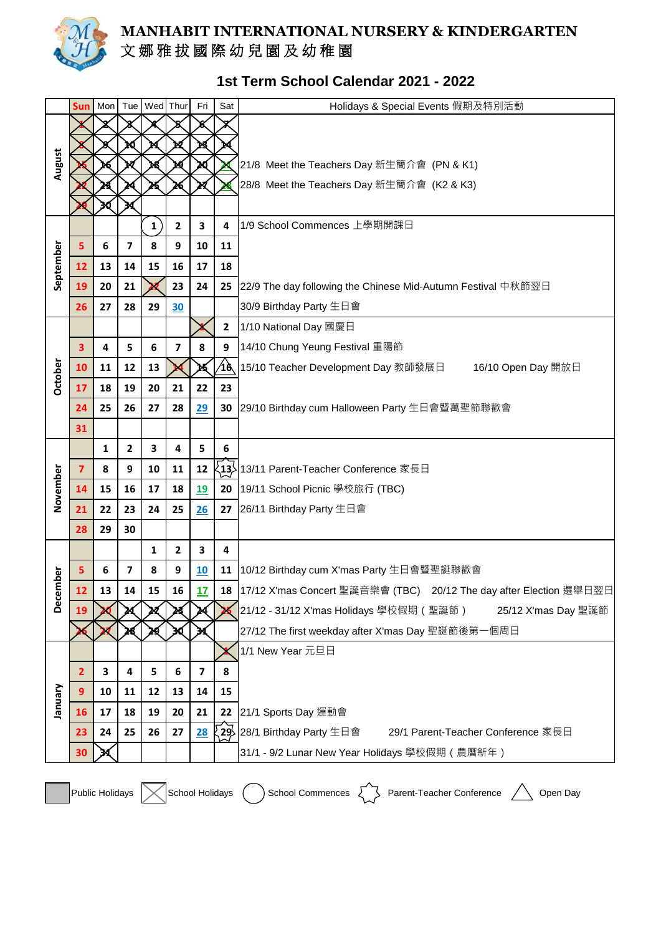

## **MANHABIT INTERNATIONAL NURSERY & KINDERGARTEN** 文 娜 雅 拔 國 際 幼 兒 園 及 幼 稚 園

## **1st Term School Calendar 2021 - 2022**

|           | <b>Sun</b>     | Mon | Tue                     | Wed Thur |    | Fri                     | Sat          | Holidays & Special Events 假期及特別活動                                         |
|-----------|----------------|-----|-------------------------|----------|----|-------------------------|--------------|---------------------------------------------------------------------------|
| August    |                |     |                         |          |    |                         |              |                                                                           |
|           |                |     |                         |          |    |                         |              |                                                                           |
|           |                |     |                         |          |    |                         |              | 21/8 Meet the Teachers Day 新生簡介會 (PN & K1)                                |
|           |                |     |                         |          |    |                         |              | 28/8 Meet the Teachers Day 新生簡介會 (K2 & K3)                                |
|           |                |     |                         |          |    |                         |              |                                                                           |
| September |                |     |                         | 1        | 2  | 3                       | 4            | 1/9 School Commences 上學期開課日                                               |
|           | 5              | 6   | $\overline{\mathbf{z}}$ | 8        | 9  | 10                      | 11           |                                                                           |
|           | 12             | 13  | 14                      | 15       | 16 | 17                      | 18           |                                                                           |
|           | 19             | 20  | 21                      |          | 23 | 24                      |              | 25 22/9 The day following the Chinese Mid-Autumn Festival 中秋節翌日           |
|           | 26             | 27  | 28                      | 29       | 30 |                         |              | 30/9 Birthday Party 生日會                                                   |
|           |                |     |                         |          |    |                         | $\mathbf{2}$ | 1/10 National Day 國慶日                                                     |
|           | 3              | 4   | 5                       | 6        | 7  | 8                       | 9            | 14/10 Chung Yeung Festival 重陽節                                            |
|           | 10             | 11  | 12                      | 13       |    |                         | 46           | 15/10 Teacher Development Day 教師發展日<br>16/10 Open Day 開放日                 |
| October   | 17             | 18  | 19                      | 20       | 21 | 22                      | 23           |                                                                           |
|           | 24             | 25  | 26                      | 27       | 28 | 29                      | 30           | 29/10 Birthday cum Halloween Party 生日會暨萬聖節聯歡會                             |
|           | 31             |     |                         |          |    |                         |              |                                                                           |
|           |                | 1   | 2                       | 3        | 4  | 5                       | 6            |                                                                           |
|           | $\overline{7}$ | 8   | 9                       | 10       | 11 | 12                      |              | ∑13> 13/11 Parent-Teacher Conference 家長日                                  |
| November  | 14             | 15  | 16                      | 17       | 18 | 19                      | 20           | 19/11 School Picnic 學校旅行 (TBC)                                            |
|           | 21             | 22  | 23                      | 24       | 25 | 26                      |              | 27 26/11 Birthday Party 生日會                                               |
|           | 28             | 29  | 30                      |          |    |                         |              |                                                                           |
|           |                |     |                         | 1        | 2  | 3                       | 4            |                                                                           |
|           | 5              | 6   | 7                       | 8        | 9  | 10                      | 11           | 10/12 Birthday cum X'mas Party 生日會暨聖誕聯歡會                                  |
| December  | 12             | 13  | 14                      | 15       | 16 | 17                      |              | 18  17/12 X'mas Concert 聖誕音樂會 (TBC) 20/12 The day after Election 選舉日翌日    |
|           | 19             |     |                         |          |    |                         |              | 21/12 - 31/12 X'mas Holidays 學校假期(聖誕節)<br>25/12 X'mas Day 聖誕節             |
|           |                |     |                         |          |    |                         |              | 27/12 The first weekday after X'mas Day 聖誕節後第一個周日                         |
|           |                |     |                         |          |    |                         |              | 1/1 New Year 元旦日                                                          |
| January   | 2              | 3   | 4                       | 5        | 6  | $\overline{\mathbf{z}}$ | 8            |                                                                           |
|           | 9              | 10  | 11                      | 12       | 13 | 14                      | 15           |                                                                           |
|           | 16             | 17  | 18                      | 19       | 20 | 21                      | 22           | 21/1 Sports Day 運動會                                                       |
|           | 23             | 24  | 25                      | 26       | 27 | 28                      |              | <b>,29∕ 28/1 Birthday Party</b> 生日會<br>29/1 Parent-Teacher Conference 家長日 |
|           | 30             |     |                         |          |    |                         |              | 31/1 - 9/2 Lunar New Year Holidays 學校假期 (農曆新年)                            |
|           |                |     |                         |          |    |                         |              |                                                                           |

Public Holidays  $\bigtimes$ School Holidays  $\bigcirc$ School Commences  $\bigcirc$ Parent-Teacher Conference  $\bigwedge$ Open Day